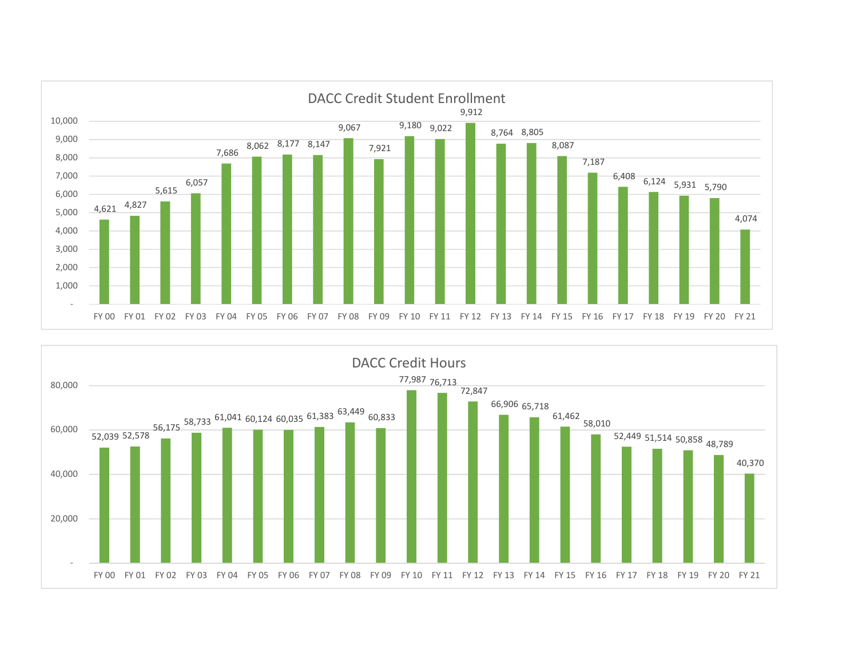